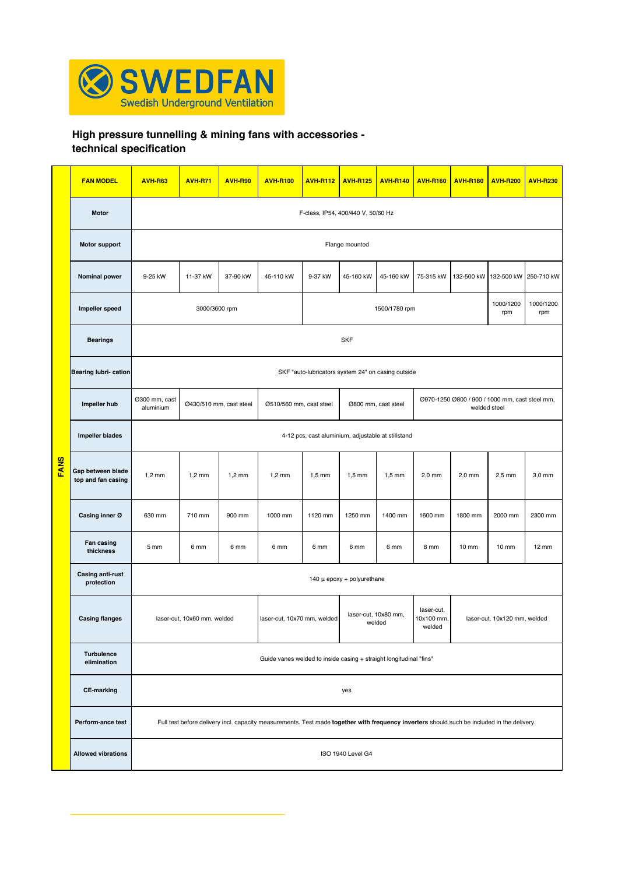

## **High pressure tunnelling & mining fans with accessories -**

**technical specification** 

|             | <b>FAN MODEL</b>                        | <b>AVH-R63</b>                                                     | <b>AVH-R71</b>              | <b>AVH-R90</b> | <b>AVH-R100</b>                                                                                                                             | <b>AVH-R112</b>                                    | <b>AVH-R125</b>                | <b>AVH-R140</b> | <b>AVH-R160</b>                    | <b>AVH-R180</b>              | <b>AVH-R200</b>                                                | <b>AVH-R230</b>   |  |
|-------------|-----------------------------------------|--------------------------------------------------------------------|-----------------------------|----------------|---------------------------------------------------------------------------------------------------------------------------------------------|----------------------------------------------------|--------------------------------|-----------------|------------------------------------|------------------------------|----------------------------------------------------------------|-------------------|--|
|             | <b>Motor</b>                            | F-class, IP54, 400/440 V, 50/60 Hz                                 |                             |                |                                                                                                                                             |                                                    |                                |                 |                                    |                              |                                                                |                   |  |
|             | <b>Motor support</b>                    | Flange mounted                                                     |                             |                |                                                                                                                                             |                                                    |                                |                 |                                    |                              |                                                                |                   |  |
|             | <b>Nominal power</b>                    | 9-25 kW                                                            | 11-37 kW                    | 37-90 kW       | 45-110 kW                                                                                                                                   | 9-37 kW                                            | 45-160 kW                      | 45-160 kW       | 75-315 kW                          |                              | 132-500 kW 132-500 kW                                          | 250-710 kW        |  |
|             | Impeller speed                          |                                                                    | 3000/3600 rpm               |                |                                                                                                                                             |                                                    | 1500/1780 rpm                  |                 | 1000/1200<br>rpm                   | 1000/1200<br>rpm             |                                                                |                   |  |
|             | <b>Bearings</b>                         | <b>SKF</b>                                                         |                             |                |                                                                                                                                             |                                                    |                                |                 |                                    |                              |                                                                |                   |  |
|             | Bearing lubri- cation                   |                                                                    |                             |                |                                                                                                                                             | SKF "auto-lubricators system 24" on casing outside |                                |                 |                                    |                              |                                                                |                   |  |
|             | Impeller hub                            | Ø300 mm, cast<br>aluminium                                         | Ø430/510 mm, cast steel     |                | Ø510/560 mm, cast steel                                                                                                                     |                                                    | Ø800 mm, cast steel            |                 |                                    |                              | Ø970-1250 Ø800 / 900 / 1000 mm, cast steel mm,<br>welded steel |                   |  |
|             | <b>Impeller blades</b>                  | 4-12 pcs, cast aluminium, adjustable at stillstand                 |                             |                |                                                                                                                                             |                                                    |                                |                 |                                    |                              |                                                                |                   |  |
| <b>FANS</b> | Gap between blade<br>top and fan casing | $1,2$ mm                                                           | $1,2$ mm                    | $1,2$ mm       | $1,2$ mm                                                                                                                                    | $1,5$ mm                                           | $1,5$ mm                       | $1,5$ mm        | $2,0$ mm                           | 2,0 mm                       | $2,5$ mm                                                       | 3,0 mm            |  |
|             | Casing inner Ø                          | 630 mm                                                             | 710 mm                      | 900 mm         | 1000 mm                                                                                                                                     | 1120 mm                                            | 1250 mm                        | 1400 mm         | 1600 mm                            | 1800 mm                      | 2000 mm                                                        | 2300 mm           |  |
|             | Fan casing<br>thickness                 | 5 mm                                                               | 6 mm                        | 6 mm           | 6 mm                                                                                                                                        | 6 mm                                               | 6 mm                           | 6 mm            | 8 mm                               | $10 \text{ mm}$              | $10 \text{ mm}$                                                | $12 \, \text{mm}$ |  |
|             | Casing anti-rust<br>protection          |                                                                    |                             |                |                                                                                                                                             | 140 $\mu$ epoxy + polyurethane                     |                                |                 |                                    |                              |                                                                |                   |  |
|             | <b>Casing flanges</b>                   |                                                                    | laser-cut, 10x60 mm, welded |                | laser-cut, 10x70 mm, welded                                                                                                                 |                                                    | laser-cut, 10x80 mm,<br>welded |                 | laser-cut,<br>10x100 mm,<br>welded | laser-cut, 10x120 mm, welded |                                                                |                   |  |
|             | <b>Turbulence</b><br>elimination        | Guide vanes welded to inside casing + straight longitudinal "fins" |                             |                |                                                                                                                                             |                                                    |                                |                 |                                    |                              |                                                                |                   |  |
|             | <b>CE-marking</b>                       |                                                                    |                             |                |                                                                                                                                             |                                                    | yes                            |                 |                                    |                              |                                                                |                   |  |
|             | Perform-ance test                       |                                                                    |                             |                | Full test before delivery incl. capacity measurements. Test made together with frequency inverters should such be included in the delivery. |                                                    |                                |                 |                                    |                              |                                                                |                   |  |
|             | <b>Allowed vibrations</b>               | ISO 1940 Level G4                                                  |                             |                |                                                                                                                                             |                                                    |                                |                 |                                    |                              |                                                                |                   |  |